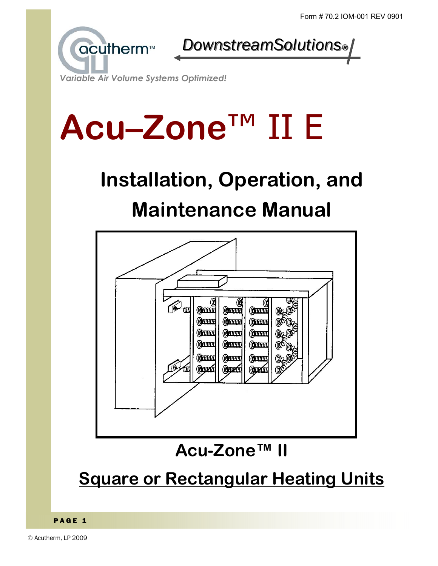

Variable Air Volume Systems Optimized!

# Acu-Zone™ II E

# Installation, Operation, and **Maintenance Manual**

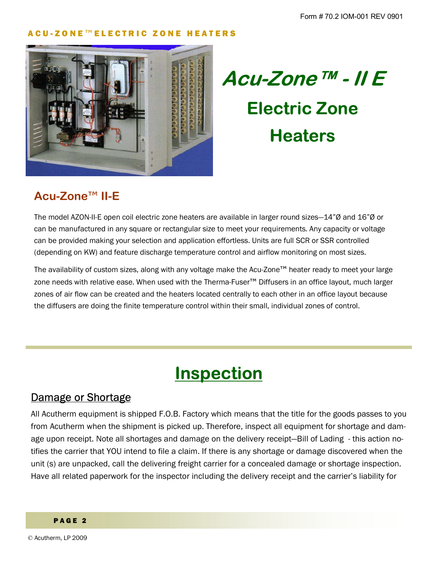

**Acu-Zone™ - II E Electric Zone Heaters** 

### **Acu-Zone**ô **II-E**

The model AZON-II-E open coil electric zone heaters are available in larger round sizes–14" $\emptyset$  and 16" $\emptyset$  or can be manufactured in any square or rectangular size to meet your requirements. Any capacity or voltage can be provided making your selection and application effortless. Units are full SCR or SSR controlled (depending on KW) and feature discharge temperature control and airflow monitoring on most sizes.

The availability of custom sizes, along with any voltage make the Acu-Zone™ heater ready to meet your large zone needs with relative ease. When used with the Therma-Fuser™ Diffusers in an office layout, much larger zones of air flow can be created and the heaters located centrally to each other in an office layout because the diffusers are doing the finite temperature control within their small, individual zones of control.

# **Inspection**

### Damage or Shortage

All Acutherm equipment is shipped F.O.B. Factory which means that the title for the goods passes to you from Acutherm when the shipment is picked up. Therefore, inspect all equipment for shortage and damage upon receipt. Note all shortages and damage on the delivery receipt—Bill of Lading - this action notifies the carrier that YOU intend to file a claim. If there is any shortage or damage discovered when the unit (s) are unpacked, call the delivering freight carrier for a concealed damage or shortage inspection. Have all related paperwork for the inspector including the delivery receipt and the carrierís liability for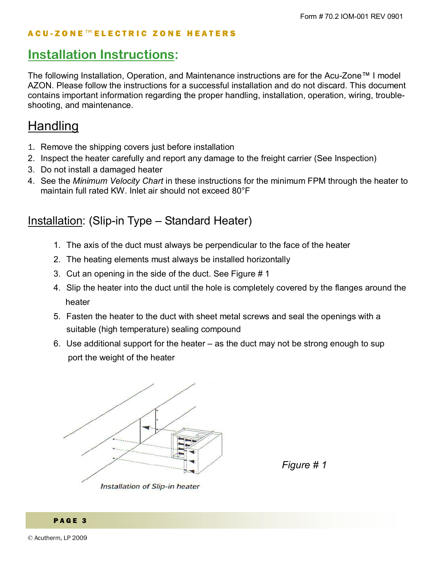### **Installation Instructions:**

The following Installation, Operation, and Maintenance instructions are for the Acu-Zone<sup> $\tau$ M</sup> I model AZON. Please follow the instructions for a successful installation and do not discard. This document contains important information regarding the proper handling, installation, operation, wiring, troubleshooting, and maintenance.

### Handling

- 1. Remove the shipping covers just before installation
- 2. Inspect the heater carefully and report any damage to the freight carrier (See Inspection)
- 3. Do not install a damaged heater
- 4. See the *Minimum Velocity Chart* in these instructions for the minimum FPM through the heater to maintain full rated KW. Inlet air should not exceed 80°F

### Installation: (Slip-in Type – Standard Heater)

- 1. The axis of the duct must always be perpendicular to the face of the heater
- 2. The heating elements must always be installed horizontally
- 3. Cut an opening in the side of the duct. See Figure # 1
- 4. Slip the heater into the duct until the hole is completely covered by the flanges around the heater
- 5. Fasten the heater to the duct with sheet metal screws and seal the openings with a suitable (high temperature) sealing compound
- 6. Use additional support for the heater  $-$  as the duct may not be strong enough to sup port the weight of the heater



*Figure # 1*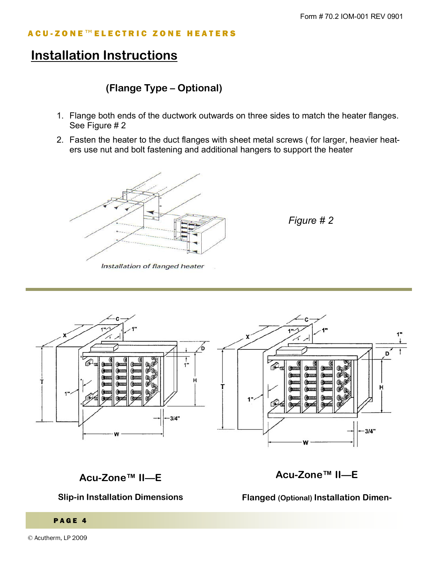### **Installation Instructions**

#### (Flange Type - Optional)

- 1. Flange both ends of the ductwork outwards on three sides to match the heater flanges. See Figure # 2
- 2. Fasten the heater to the duct flanges with sheet metal screws (for larger, heavier heaters use nut and bolt fastening and additional hangers to support the heater



Figure # 2



#### Acu-Zone™ II-E

#### **Slip-in Installation Dimensions**

Acu-Zone™ II-E

**Flanged (Optional) Installation Dimen-**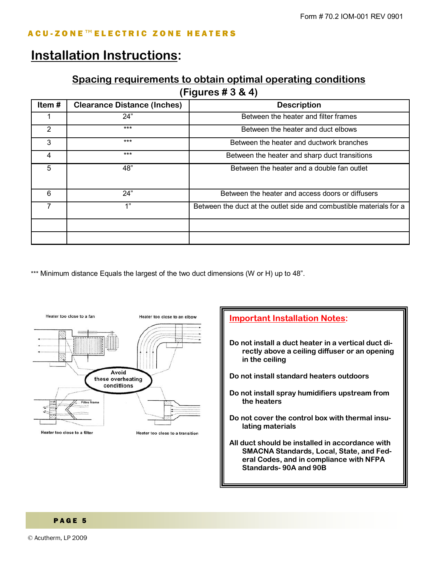### **Installation Instructions:**

#### **Spacing requirements to obtain optimal operating conditions**

**(Figures # 3 & 4)** 

| Item# | <b>Clearance Distance (Inches)</b> | <b>Description</b>                                                  |  |  |  |  |
|-------|------------------------------------|---------------------------------------------------------------------|--|--|--|--|
|       | 24"                                | Between the heater and filter frames                                |  |  |  |  |
| 2     | $***$                              | Between the heater and duct elbows                                  |  |  |  |  |
| 3     | $***$                              | Between the heater and ductwork branches                            |  |  |  |  |
| 4     | $***$                              | Between the heater and sharp duct transitions                       |  |  |  |  |
| 5     | 48"                                | Between the heater and a double fan outlet                          |  |  |  |  |
| 6     | 24"                                | Between the heater and access doors or diffusers                    |  |  |  |  |
|       | 1"                                 | Between the duct at the outlet side and combustible materials for a |  |  |  |  |
|       |                                    |                                                                     |  |  |  |  |
|       |                                    |                                                                     |  |  |  |  |

\*\*\* Minimum distance Equals the largest of the two duct dimensions (W or H) up to 48".



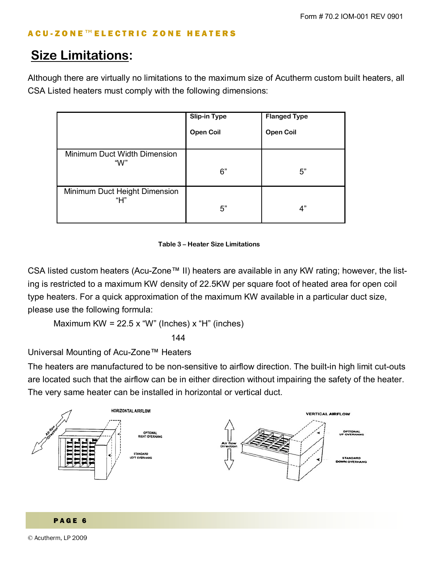### **Size Limitations:**

Although there are virtually no limitations to the maximum size of Acutherm custom built heaters, all CSA Listed heaters must comply with the following dimensions:

|                               | <b>Slip-in Type</b> | <b>Flanged Type</b> |
|-------------------------------|---------------------|---------------------|
|                               | <b>Open Coil</b>    | <b>Open Coil</b>    |
| Minimum Duct Width Dimension  |                     |                     |
| "W"                           | 6"                  | 5"                  |
| Minimum Duct Height Dimension |                     |                     |
| "Н"                           | 5"                  | 4"                  |

#### **Table 3 - Heater Size Limitations**

CSA listed custom heaters (Acu-Zone™ II) heaters are available in any KW rating; however, the listing is restricted to a maximum KW density of 22.5KW per square foot of heated area for open coil type heaters. For a quick approximation of the maximum KW available in a particular duct size, please use the following formula:

Maximum KW =  $22.5 x$  "W" (Inches)  $x$  "H" (inches)

 $144$ 

Universal Mounting of Acu-Zone™ Heaters

The heaters are manufactured to be non-sensitive to airflow direction. The built-in high limit cut-outs are located such that the airflow can be in either direction without impairing the safety of the heater. The very same heater can be installed in horizontal or vertical duct.





© Acutherm, LP 2009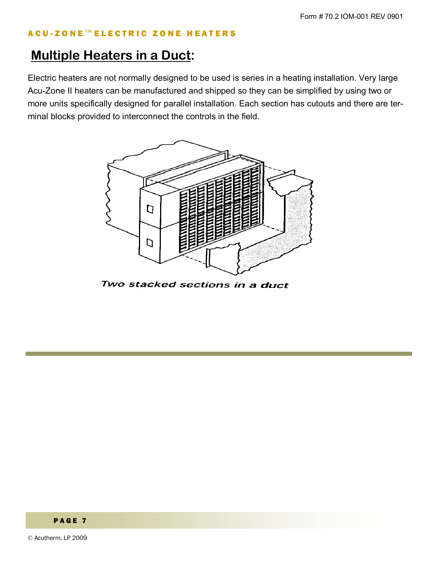### **Multiple Heaters in a Duct:**

Electric heaters are not normally designed to be used is series in a heating installation. Very large Acu-Zone II heaters can be manufactured and shipped so they can be simplified by using two or more units specifically designed for parallel installation. Each section has cutouts and there are terminal blocks provided to interconnect the controls in the field.



Two stacked sections in a duct

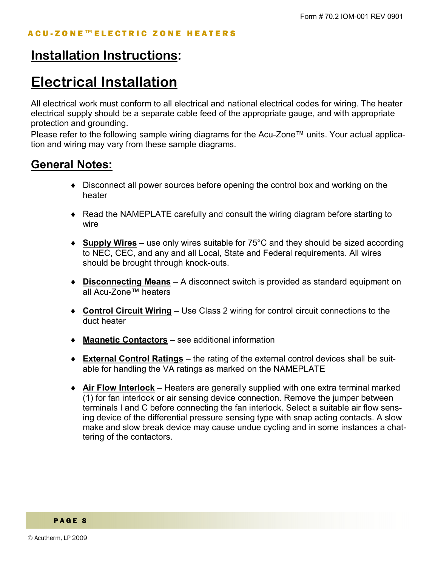### **Installation Instructions:**

### **Electrical Installation**

All electrical work must conform to all electrical and national electrical codes for wiring. The heater electrical supply should be a separate cable feed of the appropriate gauge, and with appropriate protection and grounding.

Please refer to the following sample wiring diagrams for the Acu-Zone<sup>TM</sup> units. Your actual application and wiring may vary from these sample diagrams.

### **General Notes:**

- ♦ Disconnect all power sources before opening the control box and working on the heater
- ♦ Read the NAMEPLATE carefully and consult the wiring diagram before starting to wire
- ◆ **Supply Wires** use only wires suitable for 75°C and they should be sized according to NEC, CEC, and any and all Local, State and Federal requirements. All wires should be brought through knock-outs.
- **Disconnecting Means** A disconnect switch is provided as standard equipment on all Acu-Zone™ heaters
- ◆ **Control Circuit Wiring** Use Class 2 wiring for control circuit connections to the duct heater
- ◆ **Magnetic Contactors** see additional information
- **External Control Ratings** the rating of the external control devices shall be suitable for handling the VA ratings as marked on the NAMEPLATE
- ◆ **Air Flow Interlock** Heaters are generally supplied with one extra terminal marked (1) for fan interlock or air sensing device connection. Remove the jumper between terminals I and C before connecting the fan interlock. Select a suitable air flow sensing device of the differential pressure sensing type with snap acting contacts. A slow make and slow break device may cause undue cycling and in some instances a chattering of the contactors.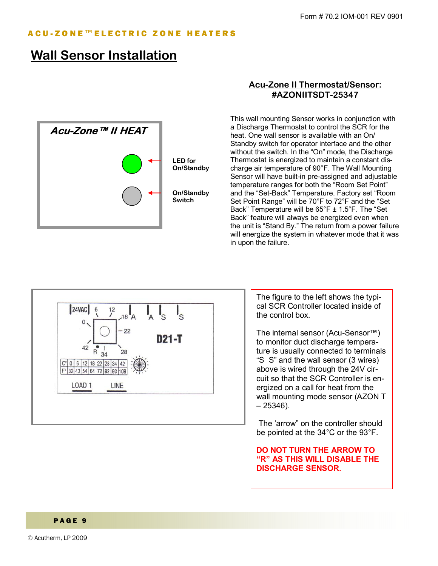### **Wall Sensor Installation**



#### **Acu-Zone II Thermostat/Sensor: #AZONIITSDT-25347**

This wall mounting Sensor works in conjunction with a Discharge Thermostat to control the SCR for the heat. One wall sensor is available with an On/ Standby switch for operator interface and the other without the switch. In the "On" mode, the Discharge Thermostat is energized to maintain a constant discharge air temperature of 90°F. The Wall Mounting Sensor will have built-in pre-assigned and adjustable temperature ranges for both the "Room Set Point" and the "Set-Back" Temperature. Factory set "Room Set Point Range" will be 70°F to 72°F and the "Set Back" Temperature will be  $65^{\circ}$ F  $\pm$  1.5 $^{\circ}$ F. The "Set Back" feature will always be energized even when the unit is "Stand By." The return from a power failure will energize the system in whatever mode that it was in upon the failure.



The figure to the left shows the typical SCR Controller located inside of the control box.

The internal sensor (Acu-Sensor<sup>TM</sup>) to monitor duct discharge temperature is usually connected to terminals "S S" and the wall sensor (3 wires) above is wired through the 24V circuit so that the SCR Controller is energized on a call for heat from the wall mounting mode sensor (AZON T  $-25346$ ).

The 'arrow" on the controller should be pointed at the 34°C or the 93°F.

**DO NOT TURN THE ARROW TO ìRî AS THIS WILL DISABLE THE DISCHARGE SENSOR.**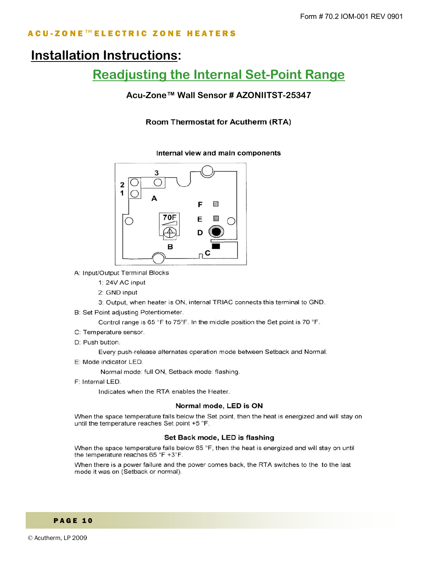### **Installation Instructions:**

### **Readjusting the Internal Set-Point Range**

#### Acu-Zone™ Wall Sensor # AZONIITST-25347

Room Thermostat for Acutherm (RTA)



A: Input/Output Terminal Blocks

- 1: 24V AC input
- 2: GND input
- 3: Output, when heater is ON, internal TRIAC connects this terminal to GND.
- B: Set Point adjusting Potentiometer.

Control range is 65 °F to 75°F. In the middle position the Set point is 70 °F.

- C: Temperature sensor.
- D: Push button.

Every push-release alternates operation mode between Setback and Normal.

E: Mode indicator LED.

Normal mode: full ON, Setback mode: flashing.

F: Internal LED.

Indicates when the RTA enables the Heater.

#### Normal mode, LED is ON

When the space temperature falls below the Set point, then the heat is energized and will stay on until the temperature reaches Set point +5 °F.

#### Set Back mode, LED is flashing

When the space temperature falls below 65 °F, then the heat is energized and will stay on until the temperature reaches 65 °F +3°F.

When there is a power failure and the power comes back, the RTA switches to the to the last mode it was on (Setback or normal).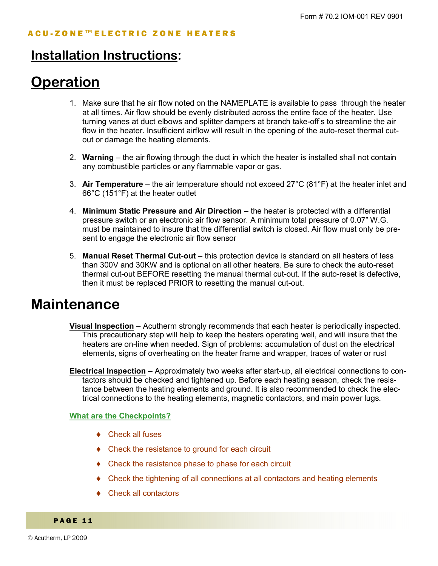### **Installation Instructions:**

# **Operation**

- 1. Make sure that he air flow noted on the NAMEPLATE is available to pass through the heater at all times. Air flow should be evenly distributed across the entire face of the heater. Use turning vanes at duct elbows and splitter dampers at branch take-off's to streamline the air flow in the heater. Insufficient airflow will result in the opening of the auto-reset thermal cutout or damage the heating elements.
- 2. **Warning** the air flowing through the duct in which the heater is installed shall not contain any combustible particles or any flammable vapor or gas.
- 3. Air Temperature the air temperature should not exceed 27°C (81°F) at the heater inlet and 66°C (151°F) at the heater outlet
- 4. **Minimum Static Pressure and Air Direction** the heater is protected with a differential pressure switch or an electronic air flow sensor. A minimum total pressure of 0.07" W.G. must be maintained to insure that the differential switch is closed. Air flow must only be present to engage the electronic air flow sensor
- 5. **Manual Reset Thermal Cut-out** this protection device is standard on all heaters of less than 300V and 30KW and is optional on all other heaters. Be sure to check the auto-reset thermal cut-out BEFORE resetting the manual thermal cut-out. If the auto-reset is defective, then it must be replaced PRIOR to resetting the manual cut-out.

### **Maintenance**

- **Visual Inspection** Acutherm strongly recommends that each heater is periodically inspected. This precautionary step will help to keep the heaters operating well, and will insure that the heaters are on-line when needed. Sign of problems: accumulation of dust on the electrical elements, signs of overheating on the heater frame and wrapper, traces of water or rust
- **Electrical Inspection** Approximately two weeks after start-up, all electrical connections to contactors should be checked and tightened up. Before each heating season, check the resistance between the heating elements and ground. It is also recommended to check the electrical connections to the heating elements, magnetic contactors, and main power lugs.

#### **What are the Checkpoints?**

- ◆ Check all fuses
- ♦ Check the resistance to ground for each circuit
- ♦ Check the resistance phase to phase for each circuit
- ♦ Check the tightening of all connections at all contactors and heating elements
- ♦ Check all contactors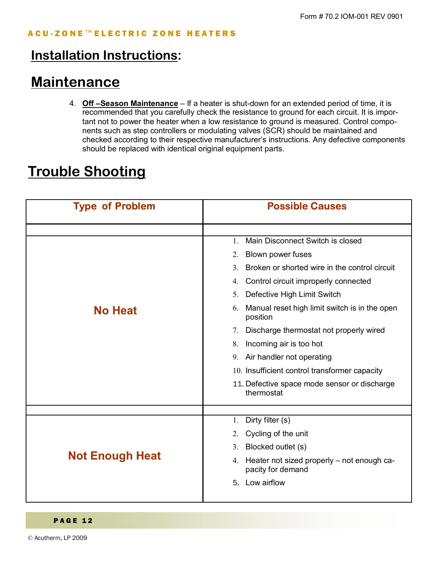### **Installation Instructions:**

### **Maintenance**

4. **Off –Season Maintenance** – If a heater is shut-down for an extended period of time, it is recommended that you carefully check the resistance to ground for each circuit. It is important not to power the heater when a low resistance to ground is measured. Control components such as step controllers or modulating valves (SCR) should be maintained and checked according to their respective manufacturerís instructions. Any defective components should be replaced with identical original equipment parts.

### **Trouble Shooting**

| <b>Type of Problem</b> | <b>Possible Causes</b>                                                |  |  |  |  |
|------------------------|-----------------------------------------------------------------------|--|--|--|--|
|                        |                                                                       |  |  |  |  |
|                        | Main Disconnect Switch is closed<br>1.                                |  |  |  |  |
|                        | Blown power fuses<br>2.                                               |  |  |  |  |
|                        | Broken or shorted wire in the control circuit<br>3 <sub>1</sub>       |  |  |  |  |
|                        | Control circuit improperly connected<br>4.                            |  |  |  |  |
|                        | Defective High Limit Switch<br>5 <sub>1</sub>                         |  |  |  |  |
| <b>No Heat</b>         | Manual reset high limit switch is in the open<br>6.<br>position       |  |  |  |  |
|                        | Discharge thermostat not properly wired<br>7.                         |  |  |  |  |
|                        | Incoming air is too hot<br>8.                                         |  |  |  |  |
|                        | 9. Air handler not operating                                          |  |  |  |  |
|                        | 10. Insufficient control transformer capacity                         |  |  |  |  |
|                        | 11. Defective space mode sensor or discharge<br>thermostat            |  |  |  |  |
|                        |                                                                       |  |  |  |  |
|                        | Dirty filter (s)<br>1.                                                |  |  |  |  |
|                        | Cycling of the unit<br>2.                                             |  |  |  |  |
|                        | Blocked outlet (s)<br>3.                                              |  |  |  |  |
| <b>Not Enough Heat</b> | Heater not sized properly – not enough ca-<br>4.<br>pacity for demand |  |  |  |  |
|                        | Low airflow<br>5.                                                     |  |  |  |  |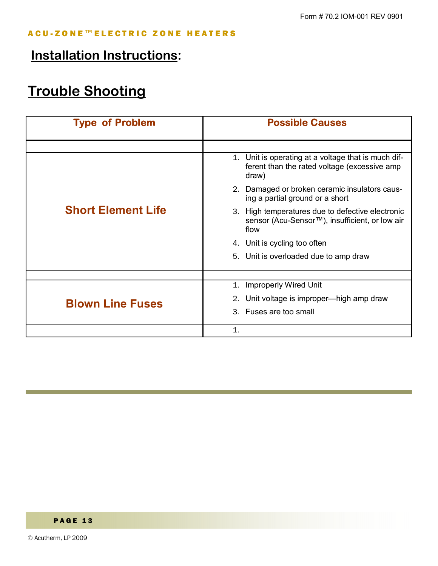### **Installation Instructions:**

# **Trouble Shooting**

| <b>Type of Problem</b>    | <b>Possible Causes</b>                                                                                        |  |  |  |
|---------------------------|---------------------------------------------------------------------------------------------------------------|--|--|--|
|                           |                                                                                                               |  |  |  |
|                           | 1. Unit is operating at a voltage that is much dif-<br>ferent than the rated voltage (excessive amp)<br>draw) |  |  |  |
|                           | Damaged or broken ceramic insulators caus-<br>2.<br>ing a partial ground or a short                           |  |  |  |
| <b>Short Element Life</b> | 3. High temperatures due to defective electronic<br>sensor (Acu-Sensor™), insufficient, or low air<br>flow    |  |  |  |
|                           | Unit is cycling too often<br>4.                                                                               |  |  |  |
|                           | 5. Unit is overloaded due to amp draw                                                                         |  |  |  |
|                           |                                                                                                               |  |  |  |
|                           | <b>Improperly Wired Unit</b><br>1.                                                                            |  |  |  |
| <b>Blown Line Fuses</b>   | Unit voltage is improper—high amp draw                                                                        |  |  |  |
|                           | 3. Fuses are too small                                                                                        |  |  |  |
|                           | $\mathbf{1}$ .                                                                                                |  |  |  |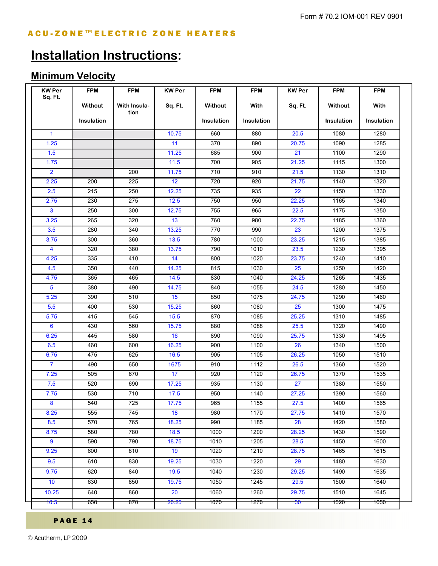## **Installation Instructions:**

### **Minimum Velocity**

| <b>KW Per</b><br>Sq. Ft. | <b>FPM</b><br>Without<br><b>Insulation</b> | <b>FPM</b><br><b>With Insula-</b><br>tion | <b>KW Per</b><br>Sq. Ft. | <b>FPM</b><br>Without<br><b>Insulation</b> | <b>FPM</b><br>With<br>Insulation | <b>KW Per</b><br>Sq. Ft. | <b>FPM</b><br>Without<br><b>Insulation</b> | <b>FPM</b><br>With<br>Insulation |              |  |  |       |     |     |       |      |      |
|--------------------------|--------------------------------------------|-------------------------------------------|--------------------------|--------------------------------------------|----------------------------------|--------------------------|--------------------------------------------|----------------------------------|--------------|--|--|-------|-----|-----|-------|------|------|
|                          |                                            |                                           |                          |                                            |                                  |                          |                                            |                                  | $\mathbf{1}$ |  |  | 10.75 | 660 | 880 | 20.5  | 1080 | 1280 |
|                          |                                            |                                           |                          |                                            |                                  |                          |                                            |                                  | 1.25         |  |  | 11    | 370 | 890 | 20.75 | 1090 | 1285 |
| 1.5                      |                                            |                                           | 11.25                    | 685                                        | 900                              | 21                       | 1100                                       | 1290                             |              |  |  |       |     |     |       |      |      |
| 1.75                     |                                            |                                           | 11.5                     | 700                                        | 905                              | 21.25                    | 1115                                       | 1300                             |              |  |  |       |     |     |       |      |      |
| $\overline{2}$           |                                            | 200                                       | 11.75                    | 710                                        | 910                              | 21.5                     | 1130                                       | 1310                             |              |  |  |       |     |     |       |      |      |
| 2.25                     | 200                                        | 225                                       | 12                       | 720                                        | 920                              | 21.75                    | 1140                                       | 1320                             |              |  |  |       |     |     |       |      |      |
| 2.5                      | 215                                        | 250                                       | 12.25                    | 735                                        | 935                              | 22                       | 1150                                       | 1330                             |              |  |  |       |     |     |       |      |      |
| 2.75                     | 230                                        | 275                                       | 12.5                     | 750                                        | 950                              | 22.25                    | 1165                                       | 1340                             |              |  |  |       |     |     |       |      |      |
| $\mathbf{3}$             | 250                                        | 300                                       | 12.75                    | 755                                        | 965                              | 22.5                     | 1175                                       | 1350                             |              |  |  |       |     |     |       |      |      |
| 3.25                     | 265                                        | 320                                       | 13                       | 760                                        | 980                              | 22.75                    | 1185                                       | 1360                             |              |  |  |       |     |     |       |      |      |
| 3.5                      | 280                                        | 340                                       | 13.25                    | 770                                        | 990                              | 23                       | 1200                                       | 1375                             |              |  |  |       |     |     |       |      |      |
| 3.75                     | 300                                        | 360                                       | 13.5                     | 780                                        | 1000                             | 23.25                    | 1215                                       | 1385                             |              |  |  |       |     |     |       |      |      |
| $\overline{4}$           | 320                                        | 380                                       | 13.75                    | 790                                        | 1010                             | 23.5                     | 1230                                       | 1395                             |              |  |  |       |     |     |       |      |      |
| 4.25                     | 335                                        | 410                                       | 14                       | 800                                        | 1020                             | 23.75                    | 1240                                       | 1410                             |              |  |  |       |     |     |       |      |      |
| 4.5                      | 350                                        | 440                                       | 14.25                    | 815                                        | 1030                             | 25                       | 1250                                       | 1420                             |              |  |  |       |     |     |       |      |      |
| 4.75                     | 365                                        | 465                                       | 14.5                     | 830                                        | 1040                             | 24.25                    | 1265                                       | 1435                             |              |  |  |       |     |     |       |      |      |
| $5\phantom{.0}$          | 380                                        | 490                                       | 14.75                    | 840                                        | 1055                             | 24.5                     | 1280                                       | 1450                             |              |  |  |       |     |     |       |      |      |
| 5.25                     | 390                                        | 510                                       | 15                       | 850                                        | 1075                             | 24.75                    | 1290                                       | 1460                             |              |  |  |       |     |     |       |      |      |
| 5.5                      | 400                                        | 530                                       | 15.25                    | 860                                        | 1080                             | 25                       | 1300                                       | 1475                             |              |  |  |       |     |     |       |      |      |
| 5.75                     | 415                                        | 545                                       | 15.5                     | 870                                        | 1085                             | 25.25                    | 1310                                       | 1485                             |              |  |  |       |     |     |       |      |      |
| 6                        | 430                                        | 560                                       | 15.75                    | 880                                        | 1088                             | 25.5                     | 1320                                       | 1490                             |              |  |  |       |     |     |       |      |      |
| 6.25                     | 445                                        | 580                                       | 16                       | 890                                        | 1090                             | 25.75                    | 1330                                       | 1495                             |              |  |  |       |     |     |       |      |      |
| 6.5                      | 460                                        | 600                                       | 16.25                    | 900                                        | 1100                             | 26                       | 1340                                       | 1500                             |              |  |  |       |     |     |       |      |      |
| 6.75                     | 475                                        | 625                                       | 16.5                     | 905                                        | 1105                             | 26.25                    | 1050                                       | 1510                             |              |  |  |       |     |     |       |      |      |
| $\overline{7}$           | 490                                        | 650                                       | 1675                     | 910                                        | 1112                             | 26.5                     | 1360                                       | 1520                             |              |  |  |       |     |     |       |      |      |
| 7.25                     | 505                                        | 670                                       | 17                       | 920                                        | 1120                             | 26.75                    | 1370                                       | 1535                             |              |  |  |       |     |     |       |      |      |
| 7.5                      | 520                                        | 690                                       | 17.25                    | 935                                        | 1130                             | 27                       | 1380                                       | 1550                             |              |  |  |       |     |     |       |      |      |
| 7.75                     | 530                                        | 710                                       | 17.5                     | 950                                        | 1140                             | 27.25                    | 1390                                       | 1560                             |              |  |  |       |     |     |       |      |      |
| $\boldsymbol{8}$         | 540                                        | 725                                       | 17.75                    | 965                                        | 1155                             | 27.5                     | 1400                                       | 1565                             |              |  |  |       |     |     |       |      |      |
| 8.25                     | 555                                        | 745                                       | 18                       | 980                                        | 1170                             | 27.75                    | 1410                                       | 1570                             |              |  |  |       |     |     |       |      |      |
| 8.5                      | 570                                        | 765                                       | 18.25                    | 990                                        | 1185                             | 28                       | 1420                                       | 1580                             |              |  |  |       |     |     |       |      |      |
| 8.75                     | 580                                        | 780                                       | 18.5                     | 1000                                       | 1200                             | 28.25                    | 1430                                       | 1590                             |              |  |  |       |     |     |       |      |      |
| 9                        | 590                                        | 790                                       | 18.75                    | 1010                                       | 1205                             | 28.5                     | 1450                                       | 1600                             |              |  |  |       |     |     |       |      |      |
| 9.25                     | 600                                        | 810                                       | 19                       | 1020                                       | 1210                             | 28.75                    | 1465                                       | 1615                             |              |  |  |       |     |     |       |      |      |
| 9.5                      | 610                                        | 830                                       | 19.25                    | 1030                                       | 1220                             | 29                       | 1480                                       | 1630                             |              |  |  |       |     |     |       |      |      |
| 9.75                     | 620                                        | 840                                       | 19.5                     | 1040                                       | 1230                             | 29.25                    | 1490                                       | 1635                             |              |  |  |       |     |     |       |      |      |
| 10                       | 630                                        | 850                                       | 19.75                    | 1050                                       | 1245                             | 29.5                     | 1500                                       | 1640                             |              |  |  |       |     |     |       |      |      |
| 10.25                    | 640                                        | 860                                       | 20                       | 1060                                       | 1260                             | 29.75                    | 1510                                       | 1645                             |              |  |  |       |     |     |       |      |      |
| 10.5                     | $650 -$                                    | $870 -$                                   | 20.25                    | <del>1070 -</del>                          | 1270                             | $30 -$                   | 1520                                       | 1650                             |              |  |  |       |     |     |       |      |      |